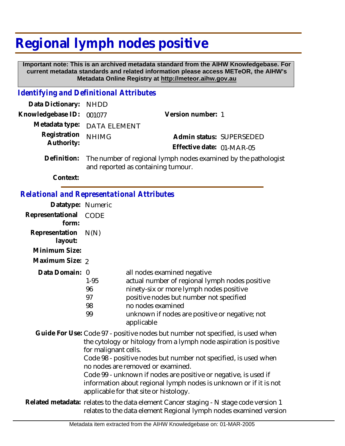## **Regional lymph nodes positive**

 **Important note: This is an archived metadata standard from the AIHW Knowledgebase. For current metadata standards and related information please access METeOR, the AIHW's Metadata Online Registry at http://meteor.aihw.gov.au**

## *Identifying and Definitional Attributes*

| Data Dictionary: NHDD    |                                                                      |                           |                          |
|--------------------------|----------------------------------------------------------------------|---------------------------|--------------------------|
| Knowledgebase ID: 001077 |                                                                      | Version number: 1         |                          |
|                          | Metadata type: DATA ELEMENT                                          |                           |                          |
| Registration NHIMG       |                                                                      |                           | Admin status: SUPERSEDED |
| Authority:               |                                                                      | Effective date: 01-MAR-05 |                          |
|                          | Definition. The number of regional lymph podes examined by the patho |                           |                          |

Definition: The number of regional lymph nodes examined by the pathologist and reported as containing tumour.

**Context:**

## *Relational and Representational Attributes*

| Datatype: Numeric         |                                  |                                                                                                                                                                                                                                                                                                                                                                                                                                               |
|---------------------------|----------------------------------|-----------------------------------------------------------------------------------------------------------------------------------------------------------------------------------------------------------------------------------------------------------------------------------------------------------------------------------------------------------------------------------------------------------------------------------------------|
| Representational<br>form: | <b>CODE</b>                      |                                                                                                                                                                                                                                                                                                                                                                                                                                               |
| Representation<br>layout: | N(N)                             |                                                                                                                                                                                                                                                                                                                                                                                                                                               |
| Minimum Size:             |                                  |                                                                                                                                                                                                                                                                                                                                                                                                                                               |
| Maximum Size: 2           |                                  |                                                                                                                                                                                                                                                                                                                                                                                                                                               |
| Data Domain: 0            | $1 - 95$<br>96<br>97<br>98<br>99 | all nodes examined negative<br>actual number of regional lymph nodes positive<br>ninety-six or more lymph nodes positive<br>positive nodes but number not specified<br>no nodes examined<br>unknown if nodes are positive or negative; not<br>applicable                                                                                                                                                                                      |
|                           | for malignant cells.             | Guide For Use: Code 97 - positive nodes but number not specified, is used when<br>the cytology or hitology from a lymph node aspiration is positive<br>Code 98 - positive nodes but number not specified, is used when<br>no nodes are removed or examined.<br>Code 99 - unknown if nodes are positive or negative, is used if<br>information about regional lymph nodes is unknown or if it is not<br>applicable for that site or histology. |
|                           |                                  | Related metadata: relates to the data element Cancer staging - N stage code version 1<br>relates to the data element Regional lymph nodes examined version                                                                                                                                                                                                                                                                                    |